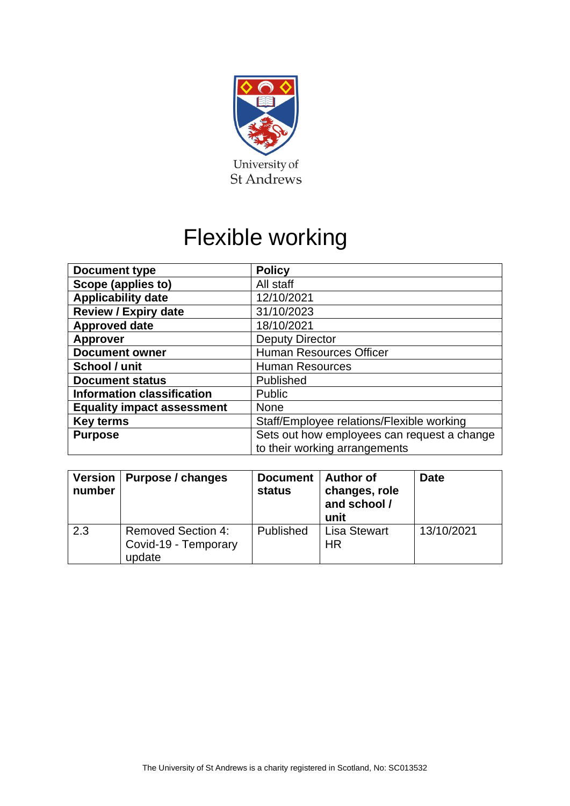

# Flexible working

| <b>Document type</b>              | <b>Policy</b>                               |  |
|-----------------------------------|---------------------------------------------|--|
| Scope (applies to)                | All staff                                   |  |
| <b>Applicability date</b>         | 12/10/2021                                  |  |
| <b>Review / Expiry date</b>       | 31/10/2023                                  |  |
| <b>Approved date</b>              | 18/10/2021                                  |  |
| <b>Approver</b>                   | <b>Deputy Director</b>                      |  |
| <b>Document owner</b>             | <b>Human Resources Officer</b>              |  |
| School / unit                     | <b>Human Resources</b>                      |  |
| <b>Document status</b>            | Published                                   |  |
| <b>Information classification</b> | Public                                      |  |
| <b>Equality impact assessment</b> | <b>None</b>                                 |  |
| <b>Key terms</b>                  | Staff/Employee relations/Flexible working   |  |
| <b>Purpose</b>                    | Sets out how employees can request a change |  |
|                                   | to their working arrangements               |  |

| <b>Version</b><br>number | Purpose / changes                                           | <b>Document</b><br><b>status</b> | ∣ Author of<br>changes, role<br>and school /<br>unit | <b>Date</b> |
|--------------------------|-------------------------------------------------------------|----------------------------------|------------------------------------------------------|-------------|
| 2.3                      | <b>Removed Section 4:</b><br>Covid-19 - Temporary<br>update | Published                        | <b>Lisa Stewart</b><br><b>HR</b>                     | 13/10/2021  |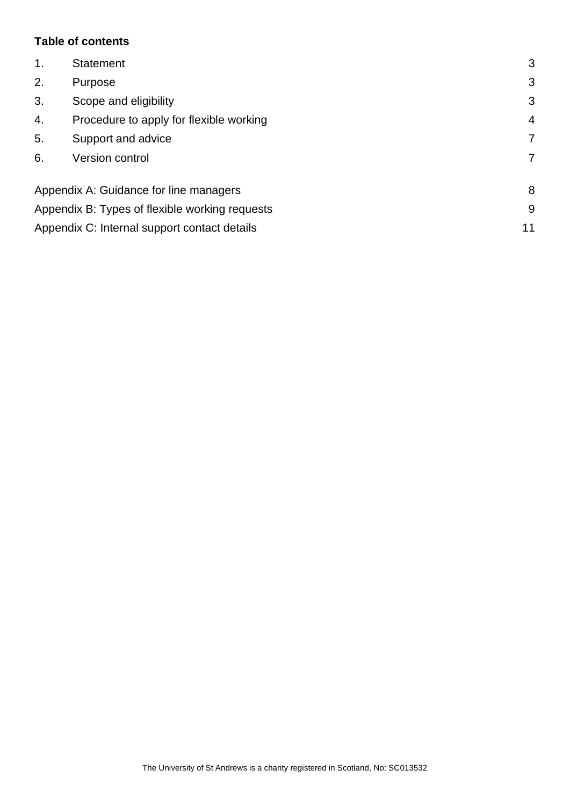# **Table of contents**

| 1.                                             | <b>Statement</b>      | 3              |
|------------------------------------------------|-----------------------|----------------|
| 2.<br>Purpose                                  |                       | 3              |
| 3.                                             | Scope and eligibility | 3              |
| Procedure to apply for flexible working<br>4.  |                       | $\overline{4}$ |
| 5.<br>Support and advice                       |                       | $\overline{7}$ |
| 6.<br><b>Version control</b>                   |                       | $\overline{7}$ |
| Appendix A: Guidance for line managers<br>8    |                       |                |
| Appendix B: Types of flexible working requests |                       |                |
| Appendix C: Internal support contact details   |                       |                |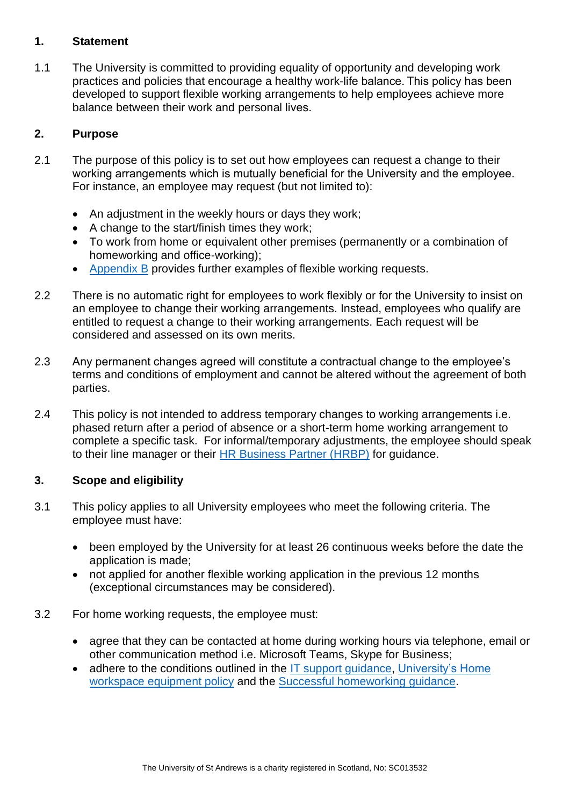### **1. Statement**

1.1 The University is committed to providing equality of opportunity and developing work practices and policies that encourage a healthy work-life balance. This policy has been developed to support flexible working arrangements to help employees achieve more balance between their work and personal lives.  

# **2. Purpose**

- 2.1 The purpose of this policy is to set out how employees can request a change to their working arrangements which is mutually beneficial for the University and the employee.  For instance, an employee may request (but not limited to):
	- An adjustment in the weekly hours or days they work;
	- A change to the start/finish times they work;
	- To work from home or equivalent other premises (permanently or a combination of homeworking and office-working);
	- Appendix B provides further examples of flexible working requests.
- 2.2 There is no automatic right for employees to work flexibly or for the University to insist on an employee to change their working arrangements. Instead, employees who qualify are entitled to request a change to their working arrangements. Each request will be considered and assessed on its own merits.
- 2.3 Any permanent changes agreed will constitute a contractual change to the employee's terms and conditions of employment and cannot be altered without the agreement of both parties.
- 2.4 This policy is not intended to address temporary changes to working arrangements i.e. phased return after a period of absence or a short-term home working arrangement to complete a specific task. For informal/temporary adjustments, the employee should speak to their line manager or their [HR Business Partner](https://www.st-andrews.ac.uk/hr/businesspartner/) (HRBP) for guidance.

# **3. Scope and eligibility**

- 3.1 This policy applies to all University employees who meet the following criteria. The employee must have:
	- been employed by the University for at least 26 continuous weeks before the date the application is made;
	- not applied for another flexible working application in the previous 12 months (exceptional circumstances may be considered).
- 3.2 For home working requests, the employee must:
	- agree that they can be contacted at home during working hours via telephone, email or other communication method i.e. Microsoft Teams, Skype for Business;
	- adhere to the conditions outlined in the IT support quidance. University's Home workspace [equipment policy](https://www.st-andrews.ac.uk/policy/safe-st-andrews/internal/home-workspace-equipment-policy.pdf) and the Successful [homeworking guidance.](https://www.st-andrews.ac.uk/it-support/new-staff/work-from-home/)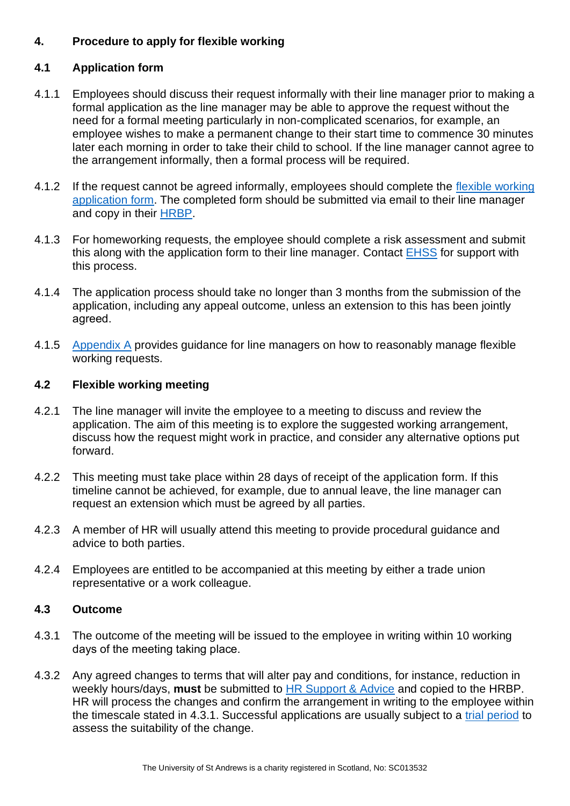# **4. Procedure to apply for flexible working**

# **4.1 Application form**

- 4.1.1 Employees should discuss their request informally with their line manager prior to making a formal application as the line manager may be able to approve the request without the need for a formal meeting particularly in non-complicated scenarios, for example, an employee wishes to make a permanent change to their start time to commence 30 minutes later each morning in order to take their child to school. If the line manager cannot agree to the arrangement informally, then a formal process will be required.
- 4.1.2 If the request cannot be agreed informally, employees should complete the flexible working [application form.](https://www.st-andrews.ac.uk/media/human-resources/new-policy-section-documents/flexibleworking/Flexible%20Working%20Application%20Form.docx) The completed form should be submitted via email to their line manager and copy in their [HRBP.](https://www.st-andrews.ac.uk/hr/businesspartner/)
- 4.1.3 For homeworking requests, the employee should complete a risk assessment and submit this along with the application form to their line manager. Contact [EHSS](https://www.st-andrews.ac.uk/ehss/staff/) for support with this process.
- 4.1.4 The application process should take no longer than 3 months from the submission of the application, including any appeal outcome, unless an extension to this has been jointly agreed.
- 4.1.5 Appendix A provides guidance for line managers on how to reasonably manage flexible working requests.

# **4.2 Flexible working meeting**

- 4.2.1 The line manager will invite the employee to a meeting to discuss and review the application. The aim of this meeting is to explore the suggested working arrangement, discuss how the request might work in practice, and consider any alternative options put forward.
- 4.2.2 This meeting must take place within 28 days of receipt of the application form. If this timeline cannot be achieved, for example, due to annual leave, the line manager can request an extension which must be agreed by all parties.
- 4.2.3 A member of HR will usually attend this meeting to provide procedural guidance and advice to both parties.
- 4.2.4 Employees are entitled to be accompanied at this meeting by either a trade union representative or a work colleague.

# **4.3 Outcome**

- 4.3.1 The outcome of the meeting will be issued to the employee in writing within 10 working days of the meeting taking place.
- 4.3.2 Any agreed changes to terms that will alter pay and conditions, for instance, reduction in weekly hours/days, **must** be submitted to [HR Support & Advice](mailto:hr.support@st-andrews.ac.uk) and copied to the HRBP. HR will process the changes and confirm the arrangement in writing to the employee within the timescale stated in 4.3.1. Successful applications are usually subject to a trial period to assess the suitability of the change.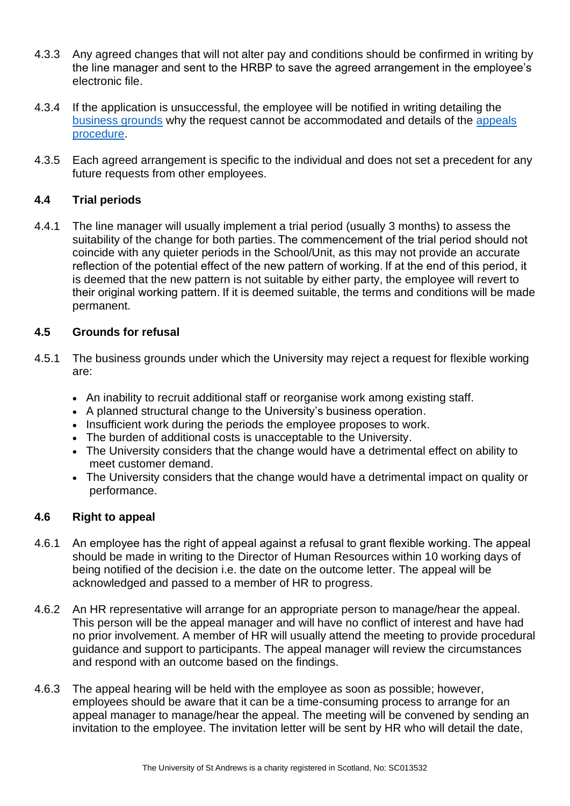- 4.3.3 Any agreed changes that will not alter pay and conditions should be confirmed in writing by the line manager and sent to the HRBP to save the agreed arrangement in the employee's electronic file.
- 4.3.4 If the application is unsuccessful, the employee will be notified in writing detailing the business grounds why the request cannot be accommodated and details of the appeals procedure.
- 4.3.5 Each agreed arrangement is specific to the individual and does not set a precedent for any future requests from other employees.

# **4.4 Trial periods**

4.4.1 The line manager will usually implement a trial period (usually 3 months) to assess the suitability of the change for both parties. The commencement of the trial period should not coincide with any quieter periods in the School/Unit, as this may not provide an accurate reflection of the potential effect of the new pattern of working. If at the end of this period, it is deemed that the new pattern is not suitable by either party, the employee will revert to their original working pattern. If it is deemed suitable, the terms and conditions will be made permanent.

#### **4.5 Grounds for refusal**

- 4.5.1 The business grounds under which the University may reject a request for flexible working are:
	- An inability to recruit additional staff or reorganise work among existing staff.
	- A planned structural change to the University's business operation.
	- Insufficient work during the periods the employee proposes to work.
	- The burden of additional costs is unacceptable to the University.
	- The University considers that the change would have a detrimental effect on ability to meet customer demand.
	- The University considers that the change would have a detrimental impact on quality or performance.

#### **4.6 Right to appeal**

- 4.6.1 An employee has the right of appeal against a refusal to grant flexible working. The appeal should be made in writing to the Director of Human Resources within 10 working days of being notified of the decision i.e. the date on the outcome letter. The appeal will be acknowledged and passed to a member of HR to progress.
- 4.6.2 An HR representative will arrange for an appropriate person to manage/hear the appeal. This person will be the appeal manager and will have no conflict of interest and have had no prior involvement. A member of HR will usually attend the meeting to provide procedural guidance and support to participants. The appeal manager will review the circumstances and respond with an outcome based on the findings.
- 4.6.3 The appeal hearing will be held with the employee as soon as possible; however, employees should be aware that it can be a time-consuming process to arrange for an appeal manager to manage/hear the appeal. The meeting will be convened by sending an invitation to the employee. The invitation letter will be sent by HR who will detail the date,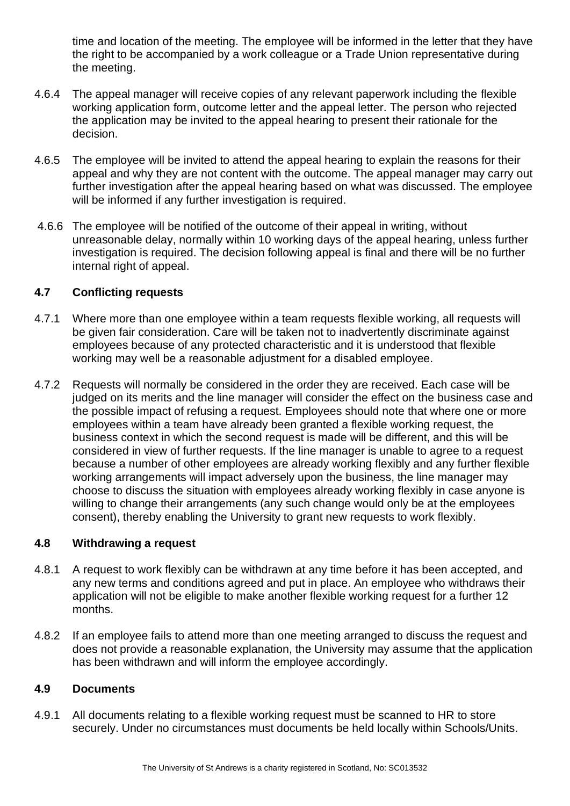time and location of the meeting. The employee will be informed in the letter that they have the right to be accompanied by a work colleague or a Trade Union representative during the meeting.

- 4.6.4 The appeal manager will receive copies of any relevant paperwork including the flexible working application form, outcome letter and the appeal letter. The person who rejected the application may be invited to the appeal hearing to present their rationale for the decision.
- 4.6.5 The employee will be invited to attend the appeal hearing to explain the reasons for their appeal and why they are not content with the outcome. The appeal manager may carry out further investigation after the appeal hearing based on what was discussed. The employee will be informed if any further investigation is required.
- 4.6.6 The employee will be notified of the outcome of their appeal in writing, without unreasonable delay, normally within 10 working days of the appeal hearing, unless further investigation is required. The decision following appeal is final and there will be no further internal right of appeal.

#### **4.7 Conflicting requests**

- 4.7.1 Where more than one employee within a team requests flexible working, all requests will be given fair consideration. Care will be taken not to inadvertently discriminate against employees because of any protected characteristic and it is understood that flexible working may well be a reasonable adjustment for a disabled employee.
- 4.7.2 Requests will normally be considered in the order they are received. Each case will be judged on its merits and the line manager will consider the effect on the business case and the possible impact of refusing a request. Employees should note that where one or more employees within a team have already been granted a flexible working request, the business context in which the second request is made will be different, and this will be considered in view of further requests. If the line manager is unable to agree to a request because a number of other employees are already working flexibly and any further flexible working arrangements will impact adversely upon the business, the line manager may choose to discuss the situation with employees already working flexibly in case anyone is willing to change their arrangements (any such change would only be at the employees consent), thereby enabling the University to grant new requests to work flexibly.

#### **4.8 Withdrawing a request**

- 4.8.1 A request to work flexibly can be withdrawn at any time before it has been accepted, and any new terms and conditions agreed and put in place. An employee who withdraws their application will not be eligible to make another flexible working request for a further 12 months.
- 4.8.2 If an employee fails to attend more than one meeting arranged to discuss the request and does not provide a reasonable explanation, the University may assume that the application has been withdrawn and will inform the employee accordingly.

#### **4.9 Documents**

4.9.1 All documents relating to a flexible working request must be scanned to HR to store securely. Under no circumstances must documents be held locally within Schools/Units.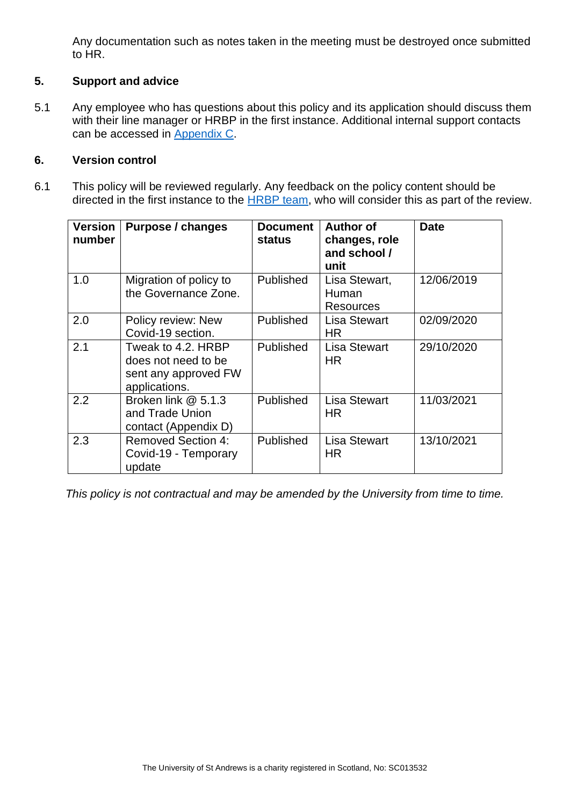Any documentation such as notes taken in the meeting must be destroyed once submitted to HR.

# **5. Support and advice**

5.1 Any employee who has questions about this policy and its application should discuss them with their line manager or HRBP in the first instance. Additional internal support contacts can be accessed in Appendix C.

#### **6. Version control**

6.1 This policy will be reviewed regularly. Any feedback on the policy content should be directed in the first instance to the **HRBP** team, who will consider this as part of the review.

| <b>Version</b><br>number | <b>Purpose / changes</b>                                                           | <b>Document</b><br>status | <b>Author of</b><br>changes, role<br>and school /<br>unit | <b>Date</b> |
|--------------------------|------------------------------------------------------------------------------------|---------------------------|-----------------------------------------------------------|-------------|
| 1.0                      | Migration of policy to<br>the Governance Zone.                                     | Published                 | Lisa Stewart,<br>Human<br>Resources                       | 12/06/2019  |
| 2.0                      | Policy review: New<br>Covid-19 section.                                            | Published                 | <b>Lisa Stewart</b><br><b>HR</b>                          | 02/09/2020  |
| 2.1                      | Tweak to 4.2. HRBP<br>does not need to be<br>sent any approved FW<br>applications. | <b>Published</b>          | <b>Lisa Stewart</b><br>HR                                 | 29/10/2020  |
| 2.2                      | Broken link @ 5.1.3<br>and Trade Union<br>contact (Appendix D)                     | <b>Published</b>          | <b>Lisa Stewart</b><br>HR.                                | 11/03/2021  |
| 2.3                      | <b>Removed Section 4:</b><br>Covid-19 - Temporary<br>update                        | <b>Published</b>          | <b>Lisa Stewart</b><br>HR.                                | 13/10/2021  |

*This policy is not contractual and may be amended by the University from time to time.*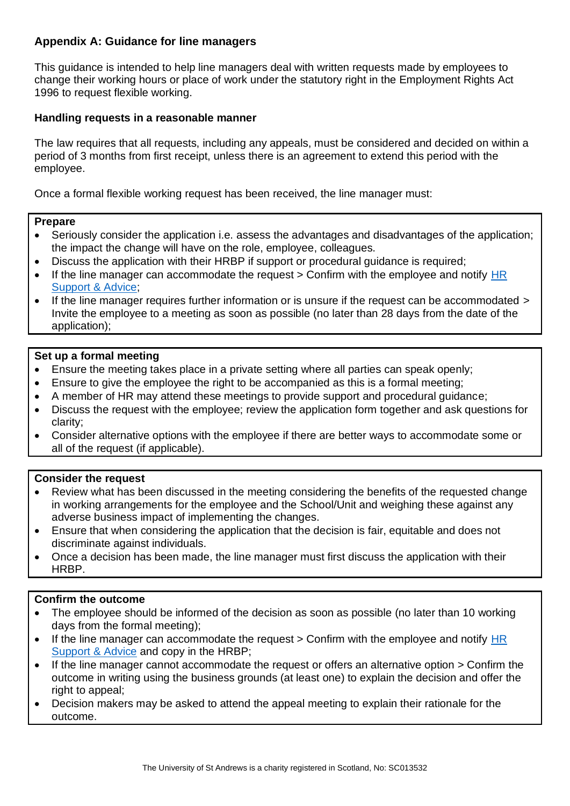# **Appendix A: Guidance for line managers**

This guidance is intended to help line managers deal with written requests made by employees to change their working hours or place of work under the statutory right in the Employment Rights Act 1996 to request flexible working.

#### **Handling requests in a reasonable manner**

The law requires that all requests, including any appeals, must be considered and decided on within a period of 3 months from first receipt, unless there is an agreement to extend this period with the employee.

Once a formal flexible working request has been received, the line manager must:

#### **Prepare**

- Seriously consider the application i.e. assess the advantages and disadvantages of the application; the impact the change will have on the role, employee, colleagues.
- Discuss the application with their HRBP if support or procedural guidance is required;
- If the line manager can accommodate the request  $>$  Confirm with the employee and notify HR [Support & Advice;](mailto:hr.support@st-andrews.ac.uk)
- If the line manager requires further information or is unsure if the request can be accommodated  $\geq$ Invite the employee to a meeting as soon as possible (no later than 28 days from the date of the application);

#### **Set up a formal meeting**

- Ensure the meeting takes place in a private setting where all parties can speak openly;
- Ensure to give the employee the right to be accompanied as this is a formal meeting;
- A member of HR may attend these meetings to provide support and procedural guidance;
- Discuss the request with the employee; review the application form together and ask questions for clarity;
- Consider alternative options with the employee if there are better ways to accommodate some or all of the request (if applicable).

#### **Consider the request**

- Review what has been discussed in the meeting considering the benefits of the requested change in working arrangements for the employee and the School/Unit and weighing these against any adverse business impact of implementing the changes.
- Ensure that when considering the application that the decision is fair, equitable and does not discriminate against individuals.
- Once a decision has been made, the line manager must first discuss the application with their HRBP.

#### **Confirm the outcome**

- The employee should be informed of the decision as soon as possible (no later than 10 working days from the formal meeting);
- If the line manager can accommodate the request > Confirm with the employee and notify HR [Support &](mailto:hr.support@st-andrews.ac.uk) Advice and copy in the HRBP;
- If the line manager cannot accommodate the request or offers an alternative option > Confirm the outcome in writing using the business grounds (at least one) to explain the decision and offer the right to appeal;
- Decision makers may be asked to attend the appeal meeting to explain their rationale for the outcome.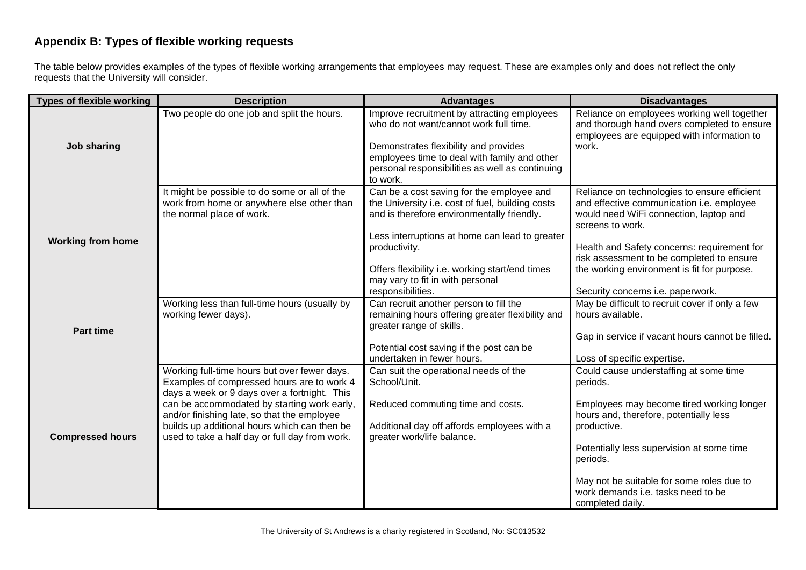# **Appendix B: Types of flexible working requests**

The table below provides examples of the types of flexible working arrangements that employees may request. These are examples only and does not reflect the only requests that the University will consider.

| <b>Types of flexible working</b> | <b>Description</b>                                                                                                                                                                                                                                                                                                                         | <b>Advantages</b>                                                                                                                                                                                                                                                                                                          | <b>Disadvantages</b>                                                                                                                                                                                                                                                                                                                    |
|----------------------------------|--------------------------------------------------------------------------------------------------------------------------------------------------------------------------------------------------------------------------------------------------------------------------------------------------------------------------------------------|----------------------------------------------------------------------------------------------------------------------------------------------------------------------------------------------------------------------------------------------------------------------------------------------------------------------------|-----------------------------------------------------------------------------------------------------------------------------------------------------------------------------------------------------------------------------------------------------------------------------------------------------------------------------------------|
| Job sharing                      | Two people do one job and split the hours.                                                                                                                                                                                                                                                                                                 | Improve recruitment by attracting employees<br>who do not want/cannot work full time.<br>Demonstrates flexibility and provides<br>employees time to deal with family and other<br>personal responsibilities as well as continuing<br>to work.                                                                              | Reliance on employees working well together<br>and thorough hand overs completed to ensure<br>employees are equipped with information to<br>work.                                                                                                                                                                                       |
| <b>Working from home</b>         | It might be possible to do some or all of the<br>work from home or anywhere else other than<br>the normal place of work.                                                                                                                                                                                                                   | Can be a cost saving for the employee and<br>the University i.e. cost of fuel, building costs<br>and is therefore environmentally friendly.<br>Less interruptions at home can lead to greater<br>productivity.<br>Offers flexibility i.e. working start/end times<br>may vary to fit in with personal<br>responsibilities. | Reliance on technologies to ensure efficient<br>and effective communication i.e. employee<br>would need WiFi connection, laptop and<br>screens to work.<br>Health and Safety concerns: requirement for<br>risk assessment to be completed to ensure<br>the working environment is fit for purpose.<br>Security concerns i.e. paperwork. |
| <b>Part time</b>                 | Working less than full-time hours (usually by<br>working fewer days).                                                                                                                                                                                                                                                                      | Can recruit another person to fill the<br>remaining hours offering greater flexibility and<br>greater range of skills.<br>Potential cost saving if the post can be<br>undertaken in fewer hours.                                                                                                                           | May be difficult to recruit cover if only a few<br>hours available.<br>Gap in service if vacant hours cannot be filled.<br>Loss of specific expertise.                                                                                                                                                                                  |
| <b>Compressed hours</b>          | Working full-time hours but over fewer days.<br>Examples of compressed hours are to work 4<br>days a week or 9 days over a fortnight. This<br>can be accommodated by starting work early,<br>and/or finishing late, so that the employee<br>builds up additional hours which can then be<br>used to take a half day or full day from work. | Can suit the operational needs of the<br>School/Unit.<br>Reduced commuting time and costs.<br>Additional day off affords employees with a<br>greater work/life balance.                                                                                                                                                    | Could cause understaffing at some time<br>periods.<br>Employees may become tired working longer<br>hours and, therefore, potentially less<br>productive.<br>Potentially less supervision at some time<br>periods.<br>May not be suitable for some roles due to<br>work demands i.e. tasks need to be<br>completed daily.                |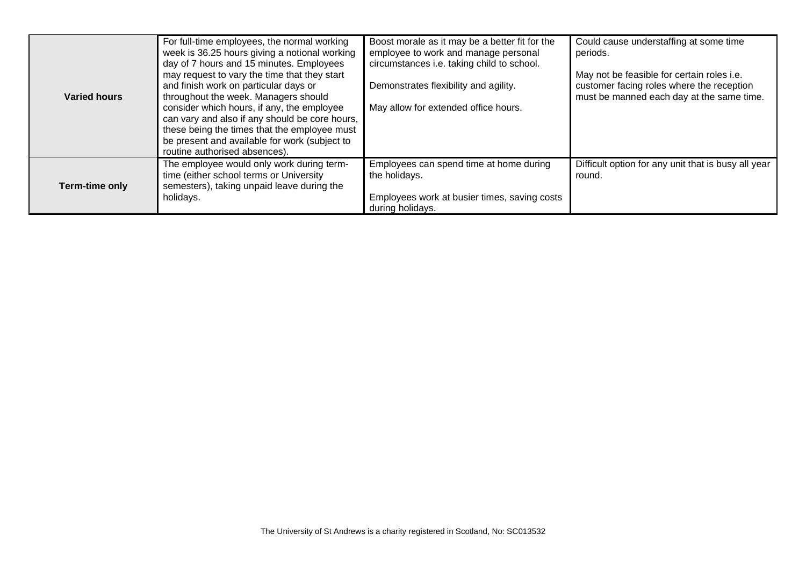| Varied hours   | For full-time employees, the normal working<br>week is 36.25 hours giving a notional working<br>day of 7 hours and 15 minutes. Employees<br>may request to vary the time that they start<br>and finish work on particular days or<br>throughout the week. Managers should<br>consider which hours, if any, the employee<br>can vary and also if any should be core hours,<br>these being the times that the employee must<br>be present and available for work (subject to<br>routine authorised absences). | Boost morale as it may be a better fit for the<br>employee to work and manage personal<br>circumstances i.e. taking child to school.<br>Demonstrates flexibility and agility.<br>May allow for extended office hours. | Could cause understaffing at some time<br>periods.<br>May not be feasible for certain roles i.e.<br>customer facing roles where the reception<br>must be manned each day at the same time. |
|----------------|-------------------------------------------------------------------------------------------------------------------------------------------------------------------------------------------------------------------------------------------------------------------------------------------------------------------------------------------------------------------------------------------------------------------------------------------------------------------------------------------------------------|-----------------------------------------------------------------------------------------------------------------------------------------------------------------------------------------------------------------------|--------------------------------------------------------------------------------------------------------------------------------------------------------------------------------------------|
| Term-time only | The employee would only work during term-<br>time (either school terms or University<br>semesters), taking unpaid leave during the<br>holidays.                                                                                                                                                                                                                                                                                                                                                             | Employees can spend time at home during<br>the holidays.<br>Employees work at busier times, saving costs<br>during holidays.                                                                                          | Difficult option for any unit that is busy all year<br>round.                                                                                                                              |